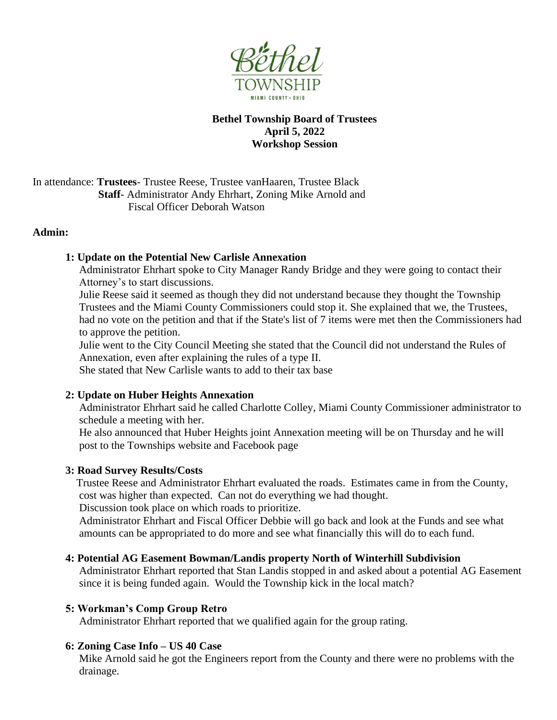

# **Bethel Township Board of Trustees April 5, 2022 Workshop Session**

In attendance: **Trustees**- Trustee Reese, Trustee vanHaaren, Trustee Black **Staff**- Administrator Andy Ehrhart, Zoning Mike Arnold and Fiscal Officer Deborah Watson

## **Admin:**

## **1: Update on the Potential New Carlisle Annexation**

Administrator Ehrhart spoke to City Manager Randy Bridge and they were going to contact their Attorney's to start discussions.

Julie Reese said it seemed as though they did not understand because they thought the Township Trustees and the Miami County Commissioners could stop it. She explained that we, the Trustees, had no vote on the petition and that if the State's list of 7 items were met then the Commissioners had to approve the petition.

Julie went to the City Council Meeting she stated that the Council did not understand the Rules of Annexation, even after explaining the rules of a type II.

She stated that New Carlisle wants to add to their tax base

#### **2: Update on Huber Heights Annexation**

Administrator Ehrhart said he called Charlotte Colley, Miami County Commissioner administrator to schedule a meeting with her.

 He also announced that Huber Heights joint Annexation meeting will be on Thursday and he will post to the Townships website and Facebook page

#### **3: Road Survey Results/Costs**

Trustee Reese and Administrator Ehrhart evaluated the roads. Estimates came in from the County, cost was higher than expected. Can not do everything we had thought.

Discussion took place on which roads to prioritize.

 Administrator Ehrhart and Fiscal Officer Debbie will go back and look at the Funds and see what amounts can be appropriated to do more and see what financially this will do to each fund.

#### **4: Potential AG Easement Bowman/Landis property North of Winterhill Subdivision**

Administrator Ehrhart reported that Stan Landis stopped in and asked about a potential AG Easement since it is being funded again. Would the Township kick in the local match?

#### **5: Workman's Comp Group Retro**

Administrator Ehrhart reported that we qualified again for the group rating.

#### **6: Zoning Case Info – US 40 Case**

Mike Arnold said he got the Engineers report from the County and there were no problems with the drainage.